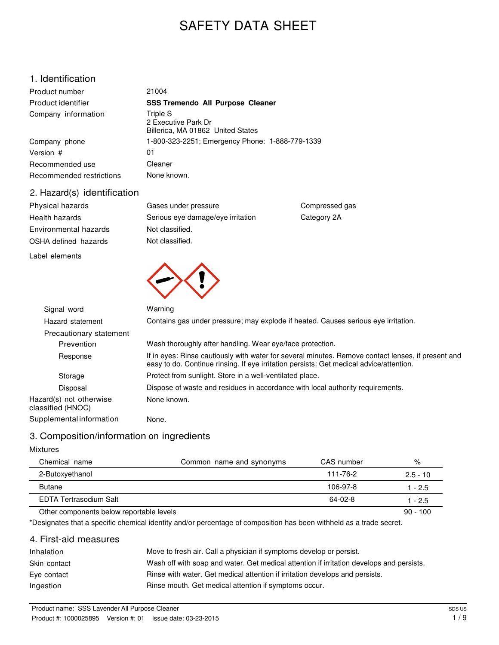# SAFETY DATA SHEET

## 1. Identification

| Product number           | 21004                                                                |
|--------------------------|----------------------------------------------------------------------|
| Product identifier       | <b>SSS Tremendo All Purpose Cleaner</b>                              |
| Company information      | Triple S<br>2 Executive Park Dr<br>Billerica, MA 01862 United States |
| Company phone            | 1-800-323-2251; Emergency Phone: 1-888-779-1339                      |
| Version #                | 01                                                                   |
| Recommended use          | Cleaner                                                              |
| Recommended restrictions | None known.                                                          |

### 2. Hazard(s) identification

| Physical hazards      | Gases under pressure              |
|-----------------------|-----------------------------------|
| Health hazards        | Serious eye damage/eye irritation |
| Environmental hazards | Not classified.                   |
| OSHA defined hazards  | Not classified.                   |
|                       |                                   |

Label elements



| Signal word                                  | Warning                                                                                                                                                                                       |
|----------------------------------------------|-----------------------------------------------------------------------------------------------------------------------------------------------------------------------------------------------|
| Hazard statement                             | Contains gas under pressure; may explode if heated. Causes serious eye irritation.                                                                                                            |
| Precautionary statement                      |                                                                                                                                                                                               |
| Prevention                                   | Wash thoroughly after handling. Wear eye/face protection.                                                                                                                                     |
| Response                                     | If in eyes: Rinse cautiously with water for several minutes. Remove contact lenses, if present and<br>easy to do. Continue rinsing. If eye irritation persists: Get medical advice/attention. |
| Storage                                      | Protect from sunlight. Store in a well-ventilated place.                                                                                                                                      |
| Disposal                                     | Dispose of waste and residues in accordance with local authority requirements.                                                                                                                |
| Hazard(s) not otherwise<br>classified (HNOC) | None known.                                                                                                                                                                                   |
| Supplemental information                     | None.                                                                                                                                                                                         |

Compressed gas Category 2A

## 3. Composition/information on ingredients

#### Mixtures

| Chemical name<br>Common name and synonyms | CAS number | %          |
|-------------------------------------------|------------|------------|
| 2-Butoxyethanol                           | 111-76-2   | $2.5 - 10$ |
| <b>Butane</b>                             | 106-97-8   | 1 - 2.5    |
| EDTA Tertrasodium Salt                    | 64-02-8    | $-2.5$     |

#### Other components below reportable levels 80 - 100

\*Designates that a specific chemical identity and/or percentage of composition has been withheld as a trade secret.

### 4. First-aid measures

| Inhalation   | Move to fresh air. Call a physician if symptoms develop or persist.                      |
|--------------|------------------------------------------------------------------------------------------|
| Skin contact | Wash off with soap and water. Get medical attention if irritation develops and persists. |
| Eye contact  | Rinse with water. Get medical attention if irritation develops and persists.             |
| Ingestion    | Rinse mouth. Get medical attention if symptoms occur.                                    |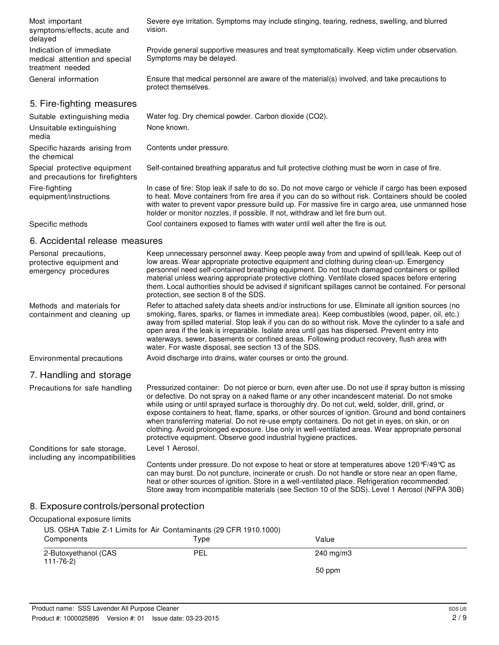| Most important<br>symptoms/effects, acute and<br>delayed                     | Severe eye irritation. Symptoms may include stinging, tearing, redness, swelling, and blurred<br>vision.                  |
|------------------------------------------------------------------------------|---------------------------------------------------------------------------------------------------------------------------|
| Indication of immediate<br>medical attention and special<br>treatment needed | Provide general supportive measures and treat symptomatically. Keep victim under observation.<br>Symptoms may be delayed. |
| General information                                                          | Ensure that medical personnel are aware of the material(s) involved, and take precautions to<br>protect themselves.       |
| 5. Fire-fighting measures                                                    |                                                                                                                           |
| Suitable extinguishing media                                                 | Water fog. Dry chemical powder. Carbon dioxide (CO2).                                                                     |

| Unsuitable extinguishing<br>media                                | None known.                                                                                                                                                                                                                                                                                                                                                                                      |
|------------------------------------------------------------------|--------------------------------------------------------------------------------------------------------------------------------------------------------------------------------------------------------------------------------------------------------------------------------------------------------------------------------------------------------------------------------------------------|
| Specific hazards arising from<br>the chemical                    | Contents under pressure.                                                                                                                                                                                                                                                                                                                                                                         |
| Special protective equipment<br>and precautions for firefighters | Self-contained breathing apparatus and full protective clothing must be worn in case of fire.                                                                                                                                                                                                                                                                                                    |
| Fire-fighting<br>equipment/instructions                          | In case of fire: Stop leak if safe to do so. Do not move cargo or vehicle if cargo has been exposed<br>to heat. Move containers from fire area if you can do so without risk. Containers should be cooled<br>with water to prevent vapor pressure build up. For massive fire in cargo area, use unmanned hose<br>holder or monitor nozzles, if possible. If not, withdraw and let fire burn out. |

Specific methods Cool containers exposed to flames with water until well after the fire is out.

### 6. Accidental release measures

| Personal precautions,<br>protective equipment and<br>emergency procedures | Keep unnecessary personnel away. Keep people away from and upwind of spill/leak. Keep out of<br>low areas. Wear appropriate protective equipment and clothing during clean-up. Emergency<br>personnel need self-contained breathing equipment. Do not touch damaged containers or spilled<br>material unless wearing appropriate protective clothing. Ventilate closed spaces before entering<br>them. Local authorities should be advised if significant spillages cannot be contained. For personal<br>protection, see section 8 of the SDS.                                                                                                                                            |
|---------------------------------------------------------------------------|-------------------------------------------------------------------------------------------------------------------------------------------------------------------------------------------------------------------------------------------------------------------------------------------------------------------------------------------------------------------------------------------------------------------------------------------------------------------------------------------------------------------------------------------------------------------------------------------------------------------------------------------------------------------------------------------|
| Methods and materials for<br>containment and cleaning up                  | Refer to attached safety data sheets and/or instructions for use. Eliminate all ignition sources (no<br>smoking, flares, sparks, or flames in immediate area). Keep combustibles (wood, paper, oil, etc.)<br>away from spilled material. Stop leak if you can do so without risk. Move the cylinder to a safe and<br>open area if the leak is irreparable. Isolate area until gas has dispersed. Prevent entry into<br>waterways, sewer, basements or confined areas. Following product recovery, flush area with<br>water. For waste disposal, see section 13 of the SDS.                                                                                                                |
| Environmental precautions                                                 | Avoid discharge into drains, water courses or onto the ground.                                                                                                                                                                                                                                                                                                                                                                                                                                                                                                                                                                                                                            |
| 7. Handling and storage                                                   |                                                                                                                                                                                                                                                                                                                                                                                                                                                                                                                                                                                                                                                                                           |
| Precautions for safe handling                                             | Pressurized container: Do not pierce or burn, even after use. Do not use if spray button is missing<br>or defective. Do not spray on a naked flame or any other incandescent material. Do not smoke<br>while using or until sprayed surface is thoroughly dry. Do not cut, weld, solder, drill, grind, or<br>expose containers to heat, flame, sparks, or other sources of ignition. Ground and bond containers<br>when transferring material. Do not re-use empty containers. Do not get in eyes, on skin, or on<br>clothing. Avoid prolonged exposure. Use only in well-ventilated areas. Wear appropriate personal<br>protective equipment. Observe good industrial hygiene practices. |
| Conditions for safe storage,<br>including any incompatibilities           | Level 1 Aerosol.                                                                                                                                                                                                                                                                                                                                                                                                                                                                                                                                                                                                                                                                          |
|                                                                           | Contents under pressure. Do not expose to heat or store at temperatures above $120\text{ }^{\circ}\text{F}/49\text{ }^{\circ}\text{C}$ as<br>can may burst. Do not puncture, incinerate or crush. Do not handle or store near an open flame,<br>heat or other sources of ignition. Store in a well-ventilated place. Refrigeration recommended.<br>Store away from incompatible materials (see Section 10 of the SDS). Level 1 Aerosol (NFPA 30B)                                                                                                                                                                                                                                         |

# 8. Exposure controls/personal protection

| Occupational exposure limits                                      |      |                    |  |
|-------------------------------------------------------------------|------|--------------------|--|
| US. OSHA Table Z-1 Limits for Air Contaminants (29 CFR 1910.1000) |      |                    |  |
| Components                                                        | Type | Value              |  |
| 2-Butoxyethanol (CAS<br>111-76-2)                                 | PEL  | $240 \text{ mg/m}$ |  |
|                                                                   |      | 50 ppm             |  |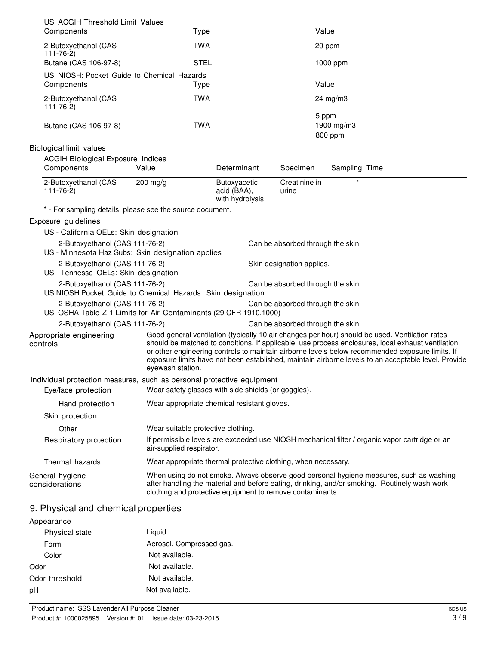| US. ACGIH Threshold Limit Values                                                                    |                                                                                                                                                                                                                                                                                                                                                                                                                                    |                                                |                                   |                                                                                                                                                                                         |
|-----------------------------------------------------------------------------------------------------|------------------------------------------------------------------------------------------------------------------------------------------------------------------------------------------------------------------------------------------------------------------------------------------------------------------------------------------------------------------------------------------------------------------------------------|------------------------------------------------|-----------------------------------|-----------------------------------------------------------------------------------------------------------------------------------------------------------------------------------------|
| Components                                                                                          | Type                                                                                                                                                                                                                                                                                                                                                                                                                               |                                                | Value                             |                                                                                                                                                                                         |
| 2-Butoxyethanol (CAS<br>$111 - 76 - 2$                                                              | <b>TWA</b>                                                                                                                                                                                                                                                                                                                                                                                                                         |                                                |                                   | 20 ppm                                                                                                                                                                                  |
| Butane (CAS 106-97-8)                                                                               | <b>STEL</b>                                                                                                                                                                                                                                                                                                                                                                                                                        |                                                |                                   | 1000 ppm                                                                                                                                                                                |
| US. NIOSH: Pocket Guide to Chemical Hazards                                                         |                                                                                                                                                                                                                                                                                                                                                                                                                                    |                                                |                                   |                                                                                                                                                                                         |
| Components                                                                                          | Type                                                                                                                                                                                                                                                                                                                                                                                                                               |                                                | Value                             |                                                                                                                                                                                         |
| 2-Butoxyethanol (CAS<br>$111 - 76 - 2$                                                              | <b>TWA</b>                                                                                                                                                                                                                                                                                                                                                                                                                         |                                                |                                   | $24 \text{ mg/m}$                                                                                                                                                                       |
|                                                                                                     |                                                                                                                                                                                                                                                                                                                                                                                                                                    |                                                |                                   | 5 ppm                                                                                                                                                                                   |
| Butane (CAS 106-97-8)                                                                               | <b>TWA</b>                                                                                                                                                                                                                                                                                                                                                                                                                         |                                                |                                   | 1900 mg/m3<br>800 ppm                                                                                                                                                                   |
| Biological limit values                                                                             |                                                                                                                                                                                                                                                                                                                                                                                                                                    |                                                |                                   |                                                                                                                                                                                         |
| <b>ACGIH Biological Exposure Indices</b>                                                            |                                                                                                                                                                                                                                                                                                                                                                                                                                    |                                                |                                   |                                                                                                                                                                                         |
| Components                                                                                          | Value                                                                                                                                                                                                                                                                                                                                                                                                                              | Determinant                                    | Specimen                          | Sampling Time                                                                                                                                                                           |
| 2-Butoxyethanol (CAS<br>$111 - 76 - 2$                                                              | 200 mg/g                                                                                                                                                                                                                                                                                                                                                                                                                           | Butoxyacetic<br>acid (BAA),<br>with hydrolysis | Creatinine in<br>urine            |                                                                                                                                                                                         |
| * - For sampling details, please see the source document.                                           |                                                                                                                                                                                                                                                                                                                                                                                                                                    |                                                |                                   |                                                                                                                                                                                         |
| Exposure guidelines                                                                                 |                                                                                                                                                                                                                                                                                                                                                                                                                                    |                                                |                                   |                                                                                                                                                                                         |
| US - California OELs: Skin designation                                                              |                                                                                                                                                                                                                                                                                                                                                                                                                                    |                                                |                                   |                                                                                                                                                                                         |
| 2-Butoxyethanol (CAS 111-76-2)                                                                      |                                                                                                                                                                                                                                                                                                                                                                                                                                    |                                                | Can be absorbed through the skin. |                                                                                                                                                                                         |
| US - Minnesota Haz Subs: Skin designation applies                                                   |                                                                                                                                                                                                                                                                                                                                                                                                                                    |                                                |                                   |                                                                                                                                                                                         |
| 2-Butoxyethanol (CAS 111-76-2)<br>US - Tennesse OELs: Skin designation                              |                                                                                                                                                                                                                                                                                                                                                                                                                                    |                                                | Skin designation applies.         |                                                                                                                                                                                         |
| 2-Butoxyethanol (CAS 111-76-2)                                                                      |                                                                                                                                                                                                                                                                                                                                                                                                                                    |                                                | Can be absorbed through the skin. |                                                                                                                                                                                         |
| US NIOSH Pocket Guide to Chemical Hazards: Skin designation                                         |                                                                                                                                                                                                                                                                                                                                                                                                                                    |                                                |                                   |                                                                                                                                                                                         |
| 2-Butoxyethanol (CAS 111-76-2)<br>US. OSHA Table Z-1 Limits for Air Contaminants (29 CFR 1910.1000) |                                                                                                                                                                                                                                                                                                                                                                                                                                    |                                                | Can be absorbed through the skin. |                                                                                                                                                                                         |
| 2-Butoxyethanol (CAS 111-76-2)                                                                      |                                                                                                                                                                                                                                                                                                                                                                                                                                    |                                                | Can be absorbed through the skin. |                                                                                                                                                                                         |
| Appropriate engineering<br>controls                                                                 | Good general ventilation (typically 10 air changes per hour) should be used. Ventilation rates<br>should be matched to conditions. If applicable, use process enclosures, local exhaust ventilation,<br>or other engineering controls to maintain airborne levels below recommended exposure limits. If<br>exposure limits have not been established, maintain airborne levels to an acceptable level. Provide<br>eyewash station. |                                                |                                   |                                                                                                                                                                                         |
| Individual protection measures, such as personal protective equipment                               |                                                                                                                                                                                                                                                                                                                                                                                                                                    |                                                |                                   |                                                                                                                                                                                         |
| Eye/face protection                                                                                 | Wear safety glasses with side shields (or goggles).                                                                                                                                                                                                                                                                                                                                                                                |                                                |                                   |                                                                                                                                                                                         |
| Hand protection                                                                                     | Wear appropriate chemical resistant gloves.                                                                                                                                                                                                                                                                                                                                                                                        |                                                |                                   |                                                                                                                                                                                         |
| Skin protection                                                                                     |                                                                                                                                                                                                                                                                                                                                                                                                                                    |                                                |                                   |                                                                                                                                                                                         |
| Other                                                                                               | Wear suitable protective clothing.                                                                                                                                                                                                                                                                                                                                                                                                 |                                                |                                   |                                                                                                                                                                                         |
| Respiratory protection                                                                              | air-supplied respirator.                                                                                                                                                                                                                                                                                                                                                                                                           |                                                |                                   | If permissible levels are exceeded use NIOSH mechanical filter / organic vapor cartridge or an                                                                                          |
| Thermal hazards                                                                                     | Wear appropriate thermal protective clothing, when necessary.                                                                                                                                                                                                                                                                                                                                                                      |                                                |                                   |                                                                                                                                                                                         |
| General hygiene<br>considerations                                                                   | clothing and protective equipment to remove contaminants.                                                                                                                                                                                                                                                                                                                                                                          |                                                |                                   | When using do not smoke. Always observe good personal hygiene measures, such as washing<br>after handling the material and before eating, drinking, and/or smoking. Routinely wash work |
| 9. Physical and chemical properties                                                                 |                                                                                                                                                                                                                                                                                                                                                                                                                                    |                                                |                                   |                                                                                                                                                                                         |

| Appearance     |                          |
|----------------|--------------------------|
| Physical state | Liguid.                  |
| Form           | Aerosol. Compressed gas. |
| Color          | Not available.           |
| Odor           | Not available.           |
| Odor threshold | Not available.           |
| рH             | Not available.           |
|                |                          |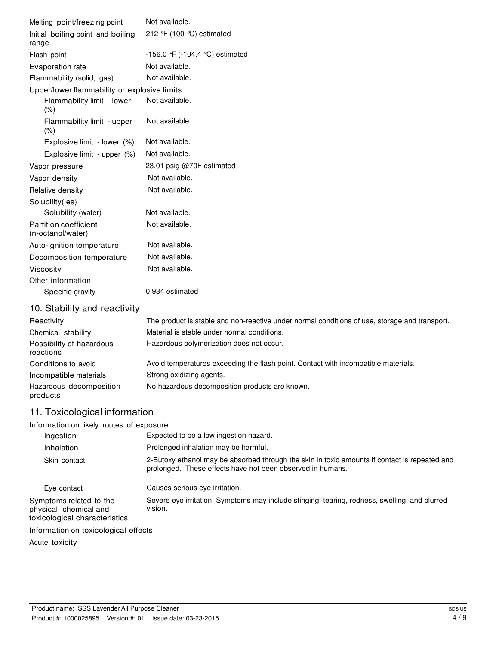| Melting point/freezing point                 | Not available.                                                                                                                                              |
|----------------------------------------------|-------------------------------------------------------------------------------------------------------------------------------------------------------------|
| Initial boiling point and boiling<br>range   | 212 °F (100 °C) estimated                                                                                                                                   |
| Flash point                                  | -156.0 $\mathcal{F}$ (-104.4 °C) estimated                                                                                                                  |
| Evaporation rate                             | Not available.                                                                                                                                              |
| Flammability (solid, gas)                    | Not available.                                                                                                                                              |
| Upper/lower flammability or explosive limits |                                                                                                                                                             |
| Flammability limit - lower<br>(% )           | Not available.                                                                                                                                              |
| Flammability limit - upper<br>(% )           | Not available.                                                                                                                                              |
| Explosive limit - lower (%)                  | Not available.                                                                                                                                              |
| Explosive limit - upper (%)                  | Not available.                                                                                                                                              |
| Vapor pressure                               | 23.01 psig @70F estimated                                                                                                                                   |
| Vapor density                                | Not available.                                                                                                                                              |
| Relative density                             | Not available.                                                                                                                                              |
| Solubility(ies)                              |                                                                                                                                                             |
| Solubility (water)                           | Not available.                                                                                                                                              |
| Partition coefficient<br>(n-octanol/water)   | Not available.                                                                                                                                              |
| Auto-ignition temperature                    | Not available.                                                                                                                                              |
| Decomposition temperature                    | Not available.                                                                                                                                              |
| Viscosity                                    | Not available.                                                                                                                                              |
| Other information                            |                                                                                                                                                             |
| Specific gravity                             | 0.934 estimated                                                                                                                                             |
| 10. Stability and reactivity                 |                                                                                                                                                             |
| Reactivity                                   | The product is stable and non-reactive under normal conditions of use, storage and transport.                                                               |
| Chemical stability                           | Material is stable under normal conditions.                                                                                                                 |
| Possibility of hazardous<br>reactions        | Hazardous polymerization does not occur.                                                                                                                    |
| Conditions to avoid                          | Avoid temperatures exceeding the flash point. Contact with incompatible materials.                                                                          |
| Incompatible materials                       | Strong oxidizing agents.                                                                                                                                    |
| Hazardous decomposition<br>products          | No hazardous decomposition products are known.                                                                                                              |
| 11. Toxicological information                |                                                                                                                                                             |
| Information on likely routes of exposure     |                                                                                                                                                             |
| Ingestion                                    | Expected to be a low ingestion hazard.                                                                                                                      |
| Inhalation                                   | Prolonged inhalation may be harmful.                                                                                                                        |
| Skin contact                                 | 2-Butoxy ethanol may be absorbed through the skin in toxic amounts if contact is repeated and<br>prolonged. These effects have not been observed in humans. |
| Eye contact                                  | Causes serious eye irritation.                                                                                                                              |

Symptoms related to the physical, chemical and toxicological characteristics Severe eye irritation. Symptoms may include stinging, tearing, redness, swelling, and blurred vision.

Information on toxicological effects

Acute toxicity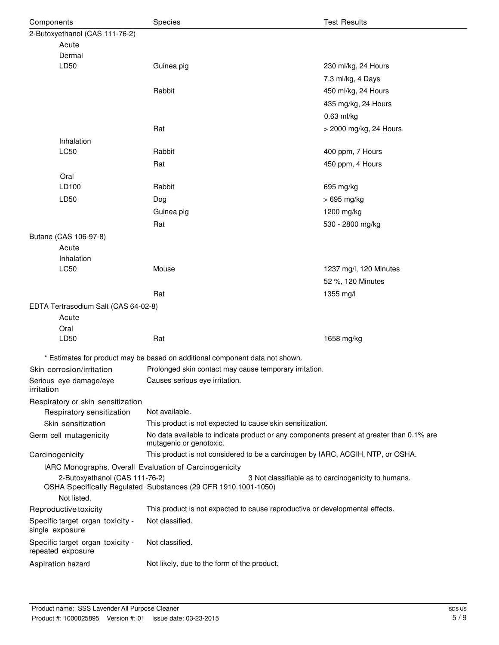| Components                                             | Species                                                                                                             | <b>Test Results</b>                                 |  |
|--------------------------------------------------------|---------------------------------------------------------------------------------------------------------------------|-----------------------------------------------------|--|
| 2-Butoxyethanol (CAS 111-76-2)                         |                                                                                                                     |                                                     |  |
| Acute                                                  |                                                                                                                     |                                                     |  |
| Dermal                                                 |                                                                                                                     |                                                     |  |
| LD50                                                   | Guinea pig                                                                                                          | 230 ml/kg, 24 Hours                                 |  |
|                                                        |                                                                                                                     | 7.3 ml/kg, 4 Days                                   |  |
|                                                        | Rabbit                                                                                                              | 450 ml/kg, 24 Hours                                 |  |
|                                                        |                                                                                                                     | 435 mg/kg, 24 Hours                                 |  |
|                                                        |                                                                                                                     | $0.63$ ml/kg                                        |  |
|                                                        | Rat                                                                                                                 | > 2000 mg/kg, 24 Hours                              |  |
| Inhalation                                             |                                                                                                                     |                                                     |  |
| LC50                                                   | Rabbit                                                                                                              | 400 ppm, 7 Hours                                    |  |
|                                                        | Rat                                                                                                                 | 450 ppm, 4 Hours                                    |  |
| Oral                                                   |                                                                                                                     |                                                     |  |
| LD100                                                  | Rabbit                                                                                                              | 695 mg/kg                                           |  |
| LD50                                                   | Dog                                                                                                                 | > 695 mg/kg                                         |  |
|                                                        | Guinea pig                                                                                                          | 1200 mg/kg                                          |  |
|                                                        | Rat                                                                                                                 | 530 - 2800 mg/kg                                    |  |
| Butane (CAS 106-97-8)                                  |                                                                                                                     |                                                     |  |
| Acute                                                  |                                                                                                                     |                                                     |  |
| Inhalation                                             |                                                                                                                     |                                                     |  |
| LC50                                                   | Mouse                                                                                                               | 1237 mg/l, 120 Minutes                              |  |
|                                                        |                                                                                                                     | 52 %, 120 Minutes                                   |  |
|                                                        | Rat                                                                                                                 | 1355 mg/l                                           |  |
| EDTA Tertrasodium Salt (CAS 64-02-8)                   |                                                                                                                     |                                                     |  |
| Acute                                                  |                                                                                                                     |                                                     |  |
| Oral                                                   |                                                                                                                     |                                                     |  |
| LD50                                                   | Rat                                                                                                                 | 1658 mg/kg                                          |  |
|                                                        | * Estimates for product may be based on additional component data not shown.                                        |                                                     |  |
| Skin corrosion/irritation                              | Prolonged skin contact may cause temporary irritation.                                                              |                                                     |  |
| Serious eye damage/eye                                 | Causes serious eye irritation.                                                                                      |                                                     |  |
| irritation                                             |                                                                                                                     |                                                     |  |
| Respiratory or skin sensitization                      |                                                                                                                     |                                                     |  |
| Respiratory sensitization                              | Not available.                                                                                                      |                                                     |  |
| Skin sensitization                                     | This product is not expected to cause skin sensitization.                                                           |                                                     |  |
| Germ cell mutagenicity                                 | No data available to indicate product or any components present at greater than 0.1% are<br>mutagenic or genotoxic. |                                                     |  |
| Carcinogenicity                                        | This product is not considered to be a carcinogen by IARC, ACGIH, NTP, or OSHA.                                     |                                                     |  |
| IARC Monographs. Overall Evaluation of Carcinogenicity |                                                                                                                     |                                                     |  |
| 2-Butoxyethanol (CAS 111-76-2)                         |                                                                                                                     | 3 Not classifiable as to carcinogenicity to humans. |  |
| Not listed.                                            | OSHA Specifically Regulated Substances (29 CFR 1910.1001-1050)                                                      |                                                     |  |
| Reproductive toxicity                                  | This product is not expected to cause reproductive or developmental effects.                                        |                                                     |  |
| Specific target organ toxicity -<br>single exposure    | Not classified.                                                                                                     |                                                     |  |
| Specific target organ toxicity -<br>repeated exposure  | Not classified.                                                                                                     |                                                     |  |
| Aspiration hazard                                      | Not likely, due to the form of the product.                                                                         |                                                     |  |
|                                                        |                                                                                                                     |                                                     |  |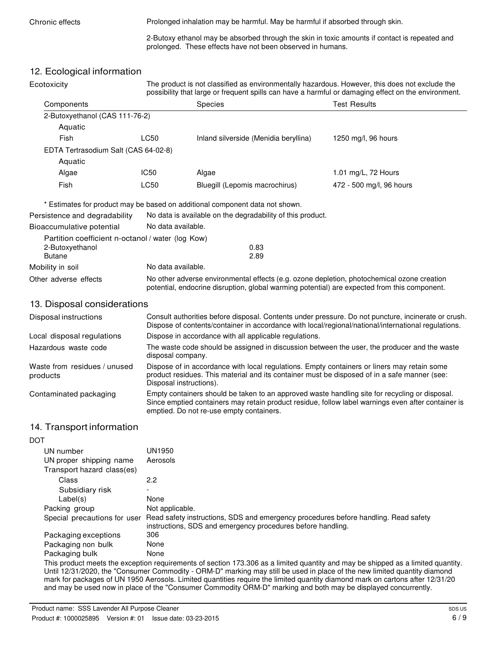Chronic effects **Prolonged inhalation may be harmful. May be harmful if absorbed through skin.** 

2-Butoxy ethanol may be absorbed through the skin in toxic amounts if contact is repeated and prolonged. These effects have not been observed in humans.

## 12. Ecological information

| IL. Luuluylual IIIlui IIIalluit<br>Ecotoxicity    |                                                                                                                                                                                                                                                  |                                                                              | The product is not classified as environmentally hazardous. However, this does not exclude the<br>possibility that large or frequent spills can have a harmful or damaging effect on the environment. |  |
|---------------------------------------------------|--------------------------------------------------------------------------------------------------------------------------------------------------------------------------------------------------------------------------------------------------|------------------------------------------------------------------------------|-------------------------------------------------------------------------------------------------------------------------------------------------------------------------------------------------------|--|
| Components                                        |                                                                                                                                                                                                                                                  | Species                                                                      | <b>Test Results</b>                                                                                                                                                                                   |  |
| 2-Butoxyethanol (CAS 111-76-2)                    |                                                                                                                                                                                                                                                  |                                                                              |                                                                                                                                                                                                       |  |
| Aquatic                                           |                                                                                                                                                                                                                                                  |                                                                              |                                                                                                                                                                                                       |  |
| Fish                                              | LC50                                                                                                                                                                                                                                             | Inland silverside (Menidia beryllina)                                        | 1250 mg/l, 96 hours                                                                                                                                                                                   |  |
| EDTA Tertrasodium Salt (CAS 64-02-8)              |                                                                                                                                                                                                                                                  |                                                                              |                                                                                                                                                                                                       |  |
| Aquatic                                           |                                                                                                                                                                                                                                                  |                                                                              |                                                                                                                                                                                                       |  |
| Algae                                             | <b>IC50</b>                                                                                                                                                                                                                                      | Algae                                                                        | 1.01 mg/L, 72 Hours                                                                                                                                                                                   |  |
| Fish                                              | LC50                                                                                                                                                                                                                                             | Bluegill (Lepomis macrochirus)                                               | 472 - 500 mg/l, 96 hours                                                                                                                                                                              |  |
|                                                   |                                                                                                                                                                                                                                                  | * Estimates for product may be based on additional component data not shown. |                                                                                                                                                                                                       |  |
| Persistence and degradability                     |                                                                                                                                                                                                                                                  | No data is available on the degradability of this product.                   |                                                                                                                                                                                                       |  |
| Bioaccumulative potential                         | No data available.                                                                                                                                                                                                                               |                                                                              |                                                                                                                                                                                                       |  |
| Partition coefficient n-octanol / water (log Kow) |                                                                                                                                                                                                                                                  |                                                                              |                                                                                                                                                                                                       |  |
| 2-Butoxyethanol                                   |                                                                                                                                                                                                                                                  | 0.83                                                                         |                                                                                                                                                                                                       |  |
| <b>Butane</b>                                     |                                                                                                                                                                                                                                                  | 2.89                                                                         |                                                                                                                                                                                                       |  |
| Mobility in soil                                  | No data available.                                                                                                                                                                                                                               |                                                                              |                                                                                                                                                                                                       |  |
| Other adverse effects                             | No other adverse environmental effects (e.g. ozone depletion, photochemical ozone creation<br>potential, endocrine disruption, global warming potential) are expected from this component.                                                       |                                                                              |                                                                                                                                                                                                       |  |
| 13. Disposal considerations                       |                                                                                                                                                                                                                                                  |                                                                              |                                                                                                                                                                                                       |  |
| Disposal instructions                             | Consult authorities before disposal. Contents under pressure. Do not puncture, incinerate or crush.<br>Dispose of contents/container in accordance with local/regional/national/international regulations.                                       |                                                                              |                                                                                                                                                                                                       |  |
| Local disposal regulations                        | Dispose in accordance with all applicable regulations.                                                                                                                                                                                           |                                                                              |                                                                                                                                                                                                       |  |
| Hazardous waste code                              | The waste code should be assigned in discussion between the user, the producer and the waste<br>disposal company.                                                                                                                                |                                                                              |                                                                                                                                                                                                       |  |
| Waste from residues / unused<br>products          | Dispose of in accordance with local regulations. Empty containers or liners may retain some<br>product residues. This material and its container must be disposed of in a safe manner (see:<br>Disposal instructions).                           |                                                                              |                                                                                                                                                                                                       |  |
| Contaminated packaging                            | Empty containers should be taken to an approved waste handling site for recycling or disposal.<br>Since emptied containers may retain product residue, follow label warnings even after container is<br>emptied. Do not re-use empty containers. |                                                                              |                                                                                                                                                                                                       |  |
| 14. Transport information                         |                                                                                                                                                                                                                                                  |                                                                              |                                                                                                                                                                                                       |  |
| DOT                                               |                                                                                                                                                                                                                                                  |                                                                              |                                                                                                                                                                                                       |  |
| UN number                                         | <b>UN1950</b>                                                                                                                                                                                                                                    |                                                                              |                                                                                                                                                                                                       |  |
| UN proper shipping name                           | Aerosols                                                                                                                                                                                                                                         |                                                                              |                                                                                                                                                                                                       |  |
| Transport hazard class(es)                        |                                                                                                                                                                                                                                                  |                                                                              |                                                                                                                                                                                                       |  |
| Class                                             | 2.2                                                                                                                                                                                                                                              |                                                                              |                                                                                                                                                                                                       |  |
| Subsidiary risk<br>Label(s)                       | None                                                                                                                                                                                                                                             |                                                                              |                                                                                                                                                                                                       |  |
| Packing group                                     | Not applicable.                                                                                                                                                                                                                                  |                                                                              |                                                                                                                                                                                                       |  |
| Special precautions for user                      | Read safety instructions, SDS and emergency procedures before handling. Read safety<br>instructions, SDS and emergency procedures before handling.                                                                                               |                                                                              |                                                                                                                                                                                                       |  |
| Packaging exceptions                              | 306                                                                                                                                                                                                                                              |                                                                              |                                                                                                                                                                                                       |  |
| Packaging non bulk                                | None                                                                                                                                                                                                                                             |                                                                              |                                                                                                                                                                                                       |  |
| Packaging bulk                                    | None                                                                                                                                                                                                                                             |                                                                              |                                                                                                                                                                                                       |  |

This product meets the exception requirements of section 173.306 as a limited quantity and may be shipped as a limited quantity. Until 12/31/2020, the "Consumer Commodity - ORM-D" marking may still be used in place of the new limited quantity diamond mark for packages of UN 1950 Aerosols. Limited quantities require the limited quantity diamond mark on cartons after 12/31/20 and may be used now in place of the "Consumer Commodity ORM-D" marking and both may be displayed concurrently.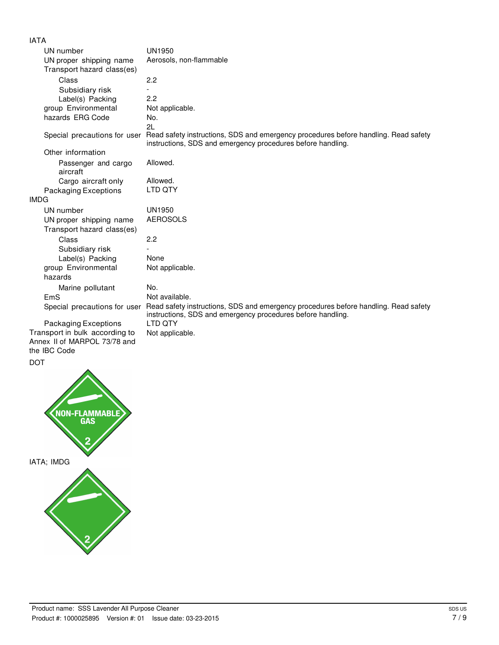#### IATA

| UN number                       | <b>UN1950</b>                                                                                                                                      |
|---------------------------------|----------------------------------------------------------------------------------------------------------------------------------------------------|
| UN proper shipping name         | Aerosols, non-flammable                                                                                                                            |
| Transport hazard class(es)      |                                                                                                                                                    |
| Class                           | 2.2                                                                                                                                                |
| Subsidiary risk                 |                                                                                                                                                    |
| Label(s) Packing                | 2.2                                                                                                                                                |
| group Environmental             | Not applicable.                                                                                                                                    |
| hazards ERG Code                | No.                                                                                                                                                |
|                                 | 2L                                                                                                                                                 |
| Special precautions for user    | Read safety instructions, SDS and emergency procedures before handling. Read safety<br>instructions, SDS and emergency procedures before handling. |
| Other information               |                                                                                                                                                    |
| Passenger and cargo<br>aircraft | Allowed.                                                                                                                                           |
| Cargo aircraft only             | Allowed.                                                                                                                                           |
| <b>Packaging Exceptions</b>     | LTD QTY                                                                                                                                            |
| <b>IMDG</b>                     |                                                                                                                                                    |
| UN number                       | <b>UN1950</b>                                                                                                                                      |
| UN proper shipping name         | <b>AEROSOLS</b>                                                                                                                                    |
| Transport hazard class(es)      |                                                                                                                                                    |
| Class                           | 2.2                                                                                                                                                |
| Subsidiary risk                 |                                                                                                                                                    |
| Label(s) Packing                | None                                                                                                                                               |
| group Environmental             | Not applicable.                                                                                                                                    |
| hazards                         |                                                                                                                                                    |
| Marine pollutant                | No.                                                                                                                                                |
| EmS                             | Not available.                                                                                                                                     |
| Special precautions for user    | Read safety instructions, SDS and emergency procedures before handling. Read safety<br>instructions, SDS and emergency procedures before handling. |
| Packaging Exceptions            | <b>LTD OTY</b>                                                                                                                                     |
| Transport in bulk according to  | Not applicable.                                                                                                                                    |
| Annex II of MARPOL 73/78 and    |                                                                                                                                                    |
| the IBC Code                    |                                                                                                                                                    |

DOT

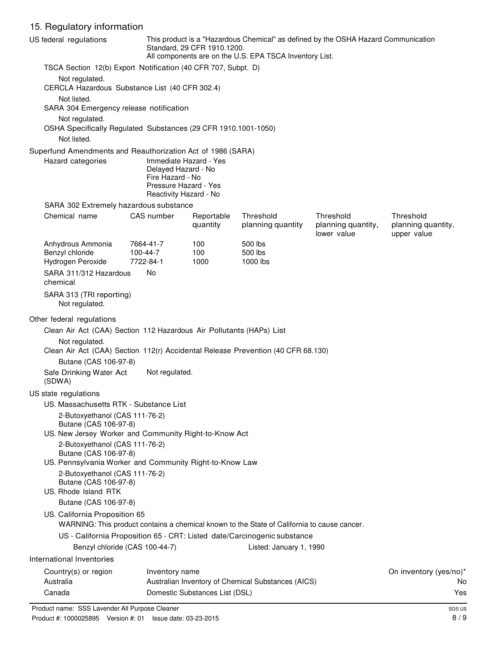# 15. Regulatory information

|           | US federal regulations                                                           |                                | This product is a "Hazardous Chemical" as defined by the OSHA Hazard Communication<br>Standard, 29 CFR 1910.1200.<br>All components are on the U.S. EPA TSCA Inventory List. |                                                                                             |                                   |                                   |
|-----------|----------------------------------------------------------------------------------|--------------------------------|------------------------------------------------------------------------------------------------------------------------------------------------------------------------------|---------------------------------------------------------------------------------------------|-----------------------------------|-----------------------------------|
|           | TSCA Section 12(b) Export Notification (40 CFR 707, Subpt. D)                    |                                |                                                                                                                                                                              |                                                                                             |                                   |                                   |
|           | Not regulated.                                                                   |                                |                                                                                                                                                                              |                                                                                             |                                   |                                   |
|           | CERCLA Hazardous Substance List (40 CFR 302.4)<br>Not listed.                    |                                |                                                                                                                                                                              |                                                                                             |                                   |                                   |
|           | SARA 304 Emergency release notification                                          |                                |                                                                                                                                                                              |                                                                                             |                                   |                                   |
|           | Not regulated.                                                                   |                                |                                                                                                                                                                              |                                                                                             |                                   |                                   |
|           | OSHA Specifically Regulated Substances (29 CFR 1910.1001-1050)                   |                                |                                                                                                                                                                              |                                                                                             |                                   |                                   |
|           | Not listed.                                                                      |                                |                                                                                                                                                                              |                                                                                             |                                   |                                   |
|           | Superfund Amendments and Reauthorization Act of 1986 (SARA)<br>Hazard categories |                                | Immediate Hazard - Yes                                                                                                                                                       |                                                                                             |                                   |                                   |
|           |                                                                                  | Delayed Hazard - No            |                                                                                                                                                                              |                                                                                             |                                   |                                   |
|           |                                                                                  | Fire Hazard - No               | Pressure Hazard - Yes                                                                                                                                                        |                                                                                             |                                   |                                   |
|           |                                                                                  |                                | Reactivity Hazard - No                                                                                                                                                       |                                                                                             |                                   |                                   |
|           | SARA 302 Extremely hazardous substance                                           |                                |                                                                                                                                                                              |                                                                                             |                                   |                                   |
|           | Chemical name                                                                    | CAS number                     | Reportable                                                                                                                                                                   | Threshold                                                                                   | Threshold                         | Threshold                         |
|           |                                                                                  |                                | quantity                                                                                                                                                                     | planning quantity                                                                           | planning quantity,<br>lower value | planning quantity,<br>upper value |
|           | Anhydrous Ammonia                                                                | 7664-41-7                      | 100                                                                                                                                                                          | 500 lbs                                                                                     |                                   |                                   |
|           | Benzyl chloride                                                                  | 100-44-7                       | 100                                                                                                                                                                          | 500 lbs                                                                                     |                                   |                                   |
|           | Hydrogen Peroxide                                                                | 7722-84-1                      | 1000                                                                                                                                                                         | 1000 lbs                                                                                    |                                   |                                   |
| chemical  | SARA 311/312 Hazardous                                                           | No                             |                                                                                                                                                                              |                                                                                             |                                   |                                   |
|           | SARA 313 (TRI reporting)<br>Not regulated.                                       |                                |                                                                                                                                                                              |                                                                                             |                                   |                                   |
|           | Other federal regulations                                                        |                                |                                                                                                                                                                              |                                                                                             |                                   |                                   |
|           | Clean Air Act (CAA) Section 112 Hazardous Air Pollutants (HAPs) List             |                                |                                                                                                                                                                              |                                                                                             |                                   |                                   |
|           | Not regulated.                                                                   |                                |                                                                                                                                                                              | Clean Air Act (CAA) Section 112(r) Accidental Release Prevention (40 CFR 68.130)            |                                   |                                   |
|           | Butane (CAS 106-97-8)                                                            |                                |                                                                                                                                                                              |                                                                                             |                                   |                                   |
| (SDWA)    | Safe Drinking Water Act                                                          | Not regulated.                 |                                                                                                                                                                              |                                                                                             |                                   |                                   |
|           | US state regulations                                                             |                                |                                                                                                                                                                              |                                                                                             |                                   |                                   |
|           | US. Massachusetts RTK - Substance List                                           |                                |                                                                                                                                                                              |                                                                                             |                                   |                                   |
|           | 2-Butoxyethanol (CAS 111-76-2)<br>Butane (CAS 106-97-8)                          |                                |                                                                                                                                                                              |                                                                                             |                                   |                                   |
|           | US. New Jersey Worker and Community Right-to-Know Act                            |                                |                                                                                                                                                                              |                                                                                             |                                   |                                   |
|           | 2-Butoxyethanol (CAS 111-76-2)                                                   |                                |                                                                                                                                                                              |                                                                                             |                                   |                                   |
|           | Butane (CAS 106-97-8)                                                            |                                |                                                                                                                                                                              |                                                                                             |                                   |                                   |
|           | US. Pennsylvania Worker and Community Right-to-Know Law                          |                                |                                                                                                                                                                              |                                                                                             |                                   |                                   |
|           | 2-Butoxyethanol (CAS 111-76-2)<br>Butane (CAS 106-97-8)                          |                                |                                                                                                                                                                              |                                                                                             |                                   |                                   |
|           | US. Rhode Island RTK                                                             |                                |                                                                                                                                                                              |                                                                                             |                                   |                                   |
|           | Butane (CAS 106-97-8)                                                            |                                |                                                                                                                                                                              |                                                                                             |                                   |                                   |
|           | US. California Proposition 65                                                    |                                |                                                                                                                                                                              | WARNING: This product contains a chemical known to the State of California to cause cancer. |                                   |                                   |
|           |                                                                                  |                                |                                                                                                                                                                              | US - California Proposition 65 - CRT: Listed date/Carcinogenic substance                    |                                   |                                   |
|           |                                                                                  | Benzyl chloride (CAS 100-44-7) |                                                                                                                                                                              | Listed: January 1, 1990                                                                     |                                   |                                   |
|           | International Inventories                                                        |                                |                                                                                                                                                                              |                                                                                             |                                   |                                   |
|           | Country(s) or region                                                             | Inventory name                 |                                                                                                                                                                              |                                                                                             |                                   | On inventory (yes/no)*            |
| Australia |                                                                                  |                                |                                                                                                                                                                              | Australian Inventory of Chemical Substances (AICS)                                          |                                   | No                                |
| Canada    |                                                                                  |                                | Domestic Substances List (DSL)                                                                                                                                               |                                                                                             |                                   | Yes                               |